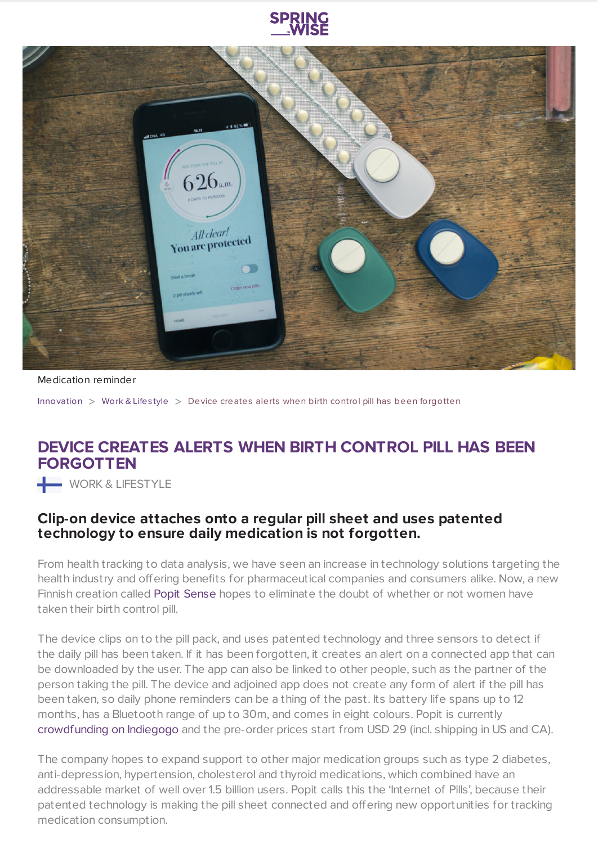



Medication reminder

[Innovation](https://www.springwise.com/search?type=innovation)  $>$  [Work](https://www.springwise.com/search?type=innovation§or=work-lifestyle) & Lifestyle  $>$  Device creates alerts when birth control pill has been forgotten

## **DEVICE CREATES ALERTS WHEN BIRTH CONTROL PILL HAS BEEN FORGOTTEN**

WORK & LIFESTYLE

## **Clip-on device attaches onto a regular pill sheet and uses patented technology to ensure daily medication is not forgotten.**

From health tracking to data analysis, we have seen an increase in technology solutions targeting the health industry and offering benefits for pharmaceutical companies and consumers alike. Now, a new Finnish creation called Popit [Sense](https://popit.io/) hopes to eliminate the doubt of whether or not women have taken their birth control pill.

The device clips on to the pill pack, and uses patented technology and three sensors to detect if the daily pill has been taken. If it has been forgotten, it creates an alert on a connected app that can be downloaded by the user. The app can also be linked to other people, such as the partner of the person taking the pill. The device and adjoined app does not create any form of alert if the pill has been taken, so daily phone reminders can be a thing of the past. Its battery life spans up to 12 months, has a Bluetooth range of up to 30m, and comes in eight colours. Popit is currently [crowdfunding](https://igg.me/at/popit/) on Indiegogo and the pre-order prices start from USD 29 (incl. shipping in US and CA).

The company hopes to expand support to other major medication groups such as type 2 diabetes, anti-depression, hypertension, cholesterol and thyroid medications, which combined have an addressable market of well over 1.5 billion users. Popit calls this the 'Internet of Pills', because their patented technology is making the pill sheet connected and offering new opportunities for tracking medication consumption.